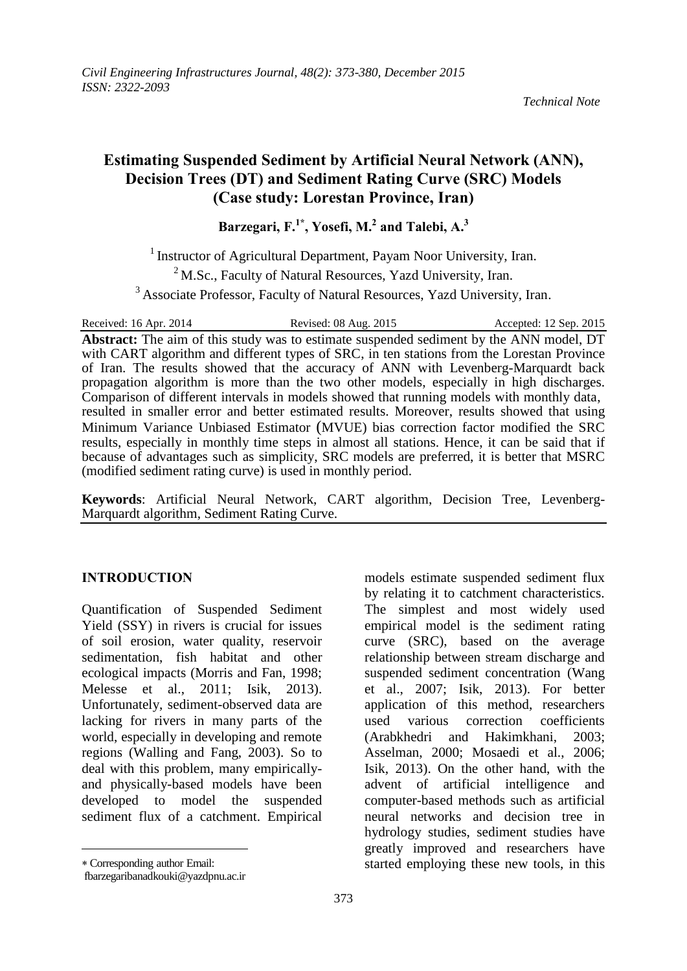# **Estimating Suspended Sediment by Artificial Neural Network (ANN), Decision Trees (DT) and Sediment Rating Curve (SRC) Models (Case study: Lorestan Province, Iran)**

**Barzegari, F.1\* , Yosefi, M.<sup>2</sup> and Talebi, A.<sup>3</sup>**

<sup>1</sup> Instructor of Agricultural Department, Payam Noor University, Iran.

 $2<sup>2</sup>$  M.Sc., Faculty of Natural Resources, Yazd University, Iran.

<sup>3</sup> Associate Professor, Faculty of Natural Resources, Yazd University, Iran.

Received: 16 Apr. 2014 Revised: 08 Aug. 2015 Accepted: 12 Sep. 2015 **Abstract:** The aim of this study was to estimate suspended sediment by the ANN model, DT with CART algorithm and different types of SRC, in ten stations from the Lorestan Province of Iran. The results showed that the accuracy of ANN with Levenberg-Marquardt back propagation algorithm is more than the two other models, especially in high discharges. Comparison of different intervals in models showed that running models with monthly data, resulted in smaller error and better estimated results. Moreover, results showed that using Minimum Variance Unbiased Estimator (MVUE) bias correction factor modified the SRC results, especially in monthly time steps in almost all stations. Hence, it can be said that if because of advantages such as simplicity, SRC models are preferred, it is better that MSRC (modified sediment rating curve) is used in monthly period.

**Keywords**: Artificial Neural Network, CART algorithm, Decision Tree, Levenberg-Marquardt algorithm, Sediment Rating Curve.

### **INTRODUCTION**

Quantification of Suspended Sediment Yield (SSY) in rivers is crucial for issues of soil erosion, water quality, reservoir sedimentation, fish habitat and other ecological impacts (Morris and Fan, 1998; Melesse et al., 2011; Isik, 2013). Unfortunately, sediment-observed data are lacking for rivers in many parts of the world, especially in developing and remote regions (Walling and Fang, 2003). So to deal with this problem, many empiricallyand physically-based models have been developed to model the suspended sediment flux of a catchment. Empirical

 $\overline{a}$ 

models estimate suspended sediment flux by relating it to catchment characteristics. The simplest and most widely used empirical model is the sediment rating curve (SRC), based on the average relationship between stream discharge and suspended sediment concentration (Wang et al., 2007; Isik, 2013). For better application of this method, researchers used various correction coefficients (Arabkhedri and Hakimkhani, 2003; Asselman, 2000; Mosaedi et al., 2006; Isik, 2013). On the other hand, with the advent of artificial intelligence and computer-based methods such as artificial neural networks and decision tree in hydrology studies, sediment studies have greatly improved and researchers have started employing these new tools, in this

Corresponding author Email:

fbarzegaribanadkouki@yazdpnu.ac.ir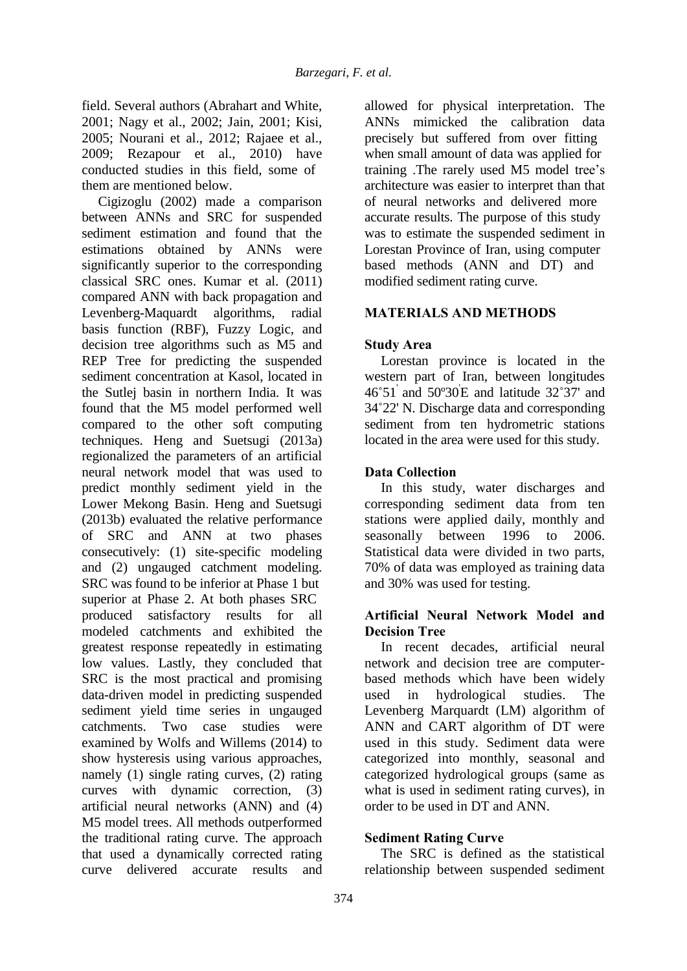field. Several authors (Abrahart and White, 2001; Nagy et al., 2002; Jain, 2001; Kisi, 2005; Nourani et al., 2012; Rajaee et al., 2009; Rezapour et al., 2010) have conducted studies in this field, some of them are mentioned below.

Cigizoglu (2002) made a comparison between ANNs and SRC for suspended sediment estimation and found that the estimations obtained by ANNs were significantly superior to the corresponding classical SRC ones. Kumar et al. (2011) compared ANN with back propagation and Levenberg-Maquardt algorithms, radial basis function (RBF), Fuzzy Logic, and decision tree algorithms such as M5 and REP Tree for predicting the suspended sediment concentration at Kasol, located in the Sutlej basin in northern India. It was found that the M5 model performed well compared to the other soft computing techniques. Heng and Suetsugi (2013a) regionalized the parameters of an artificial neural network model that was used to predict monthly sediment yield in the Lower Mekong Basin. Heng and Suetsugi (2013b) evaluated the relative performance of SRC and ANN at two phases consecutively: (1) site-specific modeling and (2) ungauged catchment modeling. SRC was found to be inferior at Phase 1 but superior at Phase 2. At both phases SRC produced satisfactory results for all modeled catchments and exhibited the greatest response repeatedly in estimating low values. Lastly, they concluded that SRC is the most practical and promising data-driven model in predicting suspended sediment yield time series in ungauged catchments. Two case studies were examined by Wolfs and Willems (2014) to show hysteresis using various approaches, namely (1) single rating curves, (2) rating curves with dynamic correction, (3) artificial neural networks (ANN) and (4) M5 model trees. All methods outperformed the traditional rating curve. The approach that used a dynamically corrected rating curve delivered accurate results and

allowed for physical interpretation. The ANNs mimicked the calibration data precisely but suffered from over fitting when small amount of data was applied for training .The rarely used M5 model tree's architecture was easier to interpret than that of neural networks and delivered more accurate results. The purpose of this study was to estimate the suspended sediment in Lorestan Province of Iran, using computer based methods (ANN and DT) and modified sediment rating curve.

# **MATERIALS AND METHODS**

## **Study Area**

Lorestan province is located in the western part of Iran, between longitudes  $46°51'$  and  $50°30'E$  and latitude  $32°37'$  and 34˚22' N. Discharge data and corresponding sediment from ten hydrometric stations located in the area were used for this study.

# **Data Collection**

In this study, water discharges and corresponding sediment data from ten stations were applied daily, monthly and seasonally between 1996 to 2006. Statistical data were divided in two parts, 70% of data was employed as training data and 30% was used for testing.

## **Artificial Neural Network Model and Decision Tree**

In recent decades, artificial neural network and decision tree are computerbased methods which have been widely used in hydrological studies. The Levenberg Marquardt (LM) algorithm of ANN and CART algorithm of DT were used in this study. Sediment data were categorized into monthly, seasonal and categorized hydrological groups (same as what is used in sediment rating curves), in order to be used in DT and ANN.

# **Sediment Rating Curve**

The SRC is defined as the statistical relationship between suspended sediment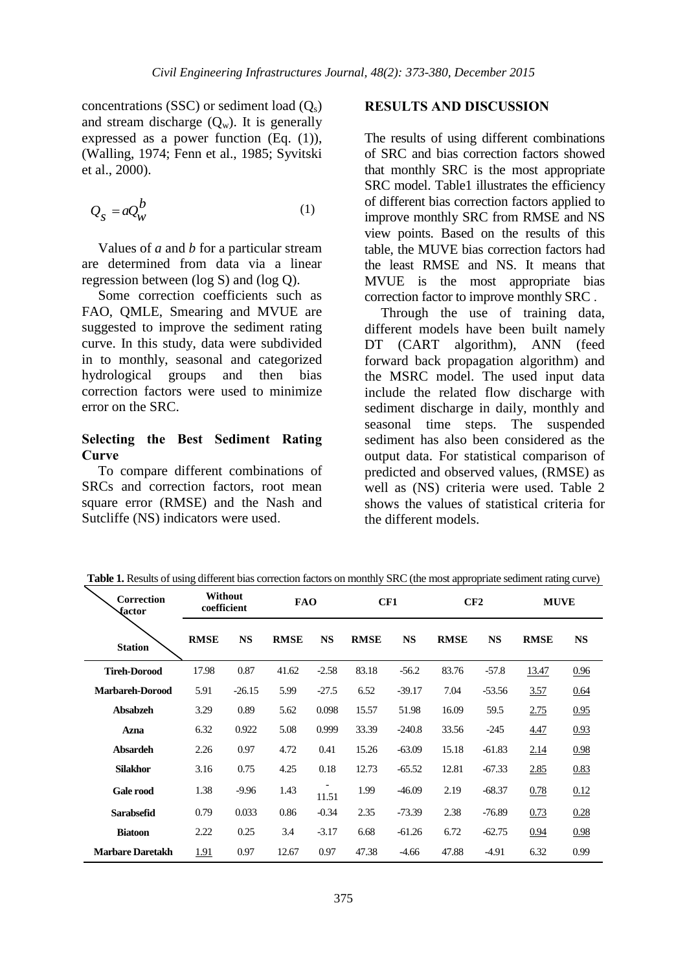concentrations (SSC) or sediment load  $(Q_s)$ and stream discharge  $(O_w)$ . It is generally expressed as a power function (Eq. (1)), (Walling, 1974; Fenn et al., 1985; Syvitski et al., 2000).

$$
Q_{s} = aQ_{w}^{b}
$$
 (1)

Values of *a* and *b* for a particular stream are determined from data via a linear regression between (log S) and (log Q).

Some correction coefficients such as FAO, QMLE, Smearing and MVUE are suggested to improve the sediment rating curve. In this study, data were subdivided in to monthly, seasonal and categorized hydrological groups and then bias correction factors were used to minimize error on the SRC.

### **Selecting the Best Sediment Rating Curve**

To compare different combinations of SRCs and correction factors, root mean square error (RMSE) and the Nash and Sutcliffe (NS) indicators were used.

#### **RESULTS AND DISCUSSION**

The results of using different combinations of SRC and bias correction factors showed that monthly SRC is the most appropriate SRC model. Table1 illustrates the efficiency of different bias correction factors applied to improve monthly SRC from RMSE and NS view points. Based on the results of this table, the MUVE bias correction factors had the least RMSE and NS. It means that MVUE is the most appropriate bias correction factor to improve monthly SRC .

Through the use of training data, different models have been built namely DT (CART algorithm), ANN (feed forward back propagation algorithm) and the MSRC model. The used input data include the related flow discharge with sediment discharge in daily, monthly and seasonal time steps. The suspended sediment has also been considered as the output data. For statistical comparison of predicted and observed values, (RMSE) as well as (NS) criteria were used. Table 2 shows the values of statistical criteria for the different models.

| Correction<br>factor    | Without<br>coefficient |           | <b>FAO</b>  |           | CF1         |           | CF2         |           | <b>MUVE</b> |           |
|-------------------------|------------------------|-----------|-------------|-----------|-------------|-----------|-------------|-----------|-------------|-----------|
| <b>Station</b>          | <b>RMSE</b>            | <b>NS</b> | <b>RMSE</b> | <b>NS</b> | <b>RMSE</b> | <b>NS</b> | <b>RMSE</b> | <b>NS</b> | <b>RMSE</b> | <b>NS</b> |
| <b>Tireh-Dorood</b>     | 17.98                  | 0.87      | 41.62       | $-2.58$   | 83.18       | $-56.2$   | 83.76       | $-57.8$   | 13.47       | 0.96      |
| <b>Marbareh-Dorood</b>  | 5.91                   | $-26.15$  | 5.99        | $-27.5$   | 6.52        | $-39.17$  | 7.04        | $-53.56$  | <u>3.57</u> | 0.64      |
| <b>Absabzeh</b>         | 3.29                   | 0.89      | 5.62        | 0.098     | 15.57       | 51.98     | 16.09       | 59.5      | 2.75        | 0.95      |
| Azna                    | 6.32                   | 0.922     | 5.08        | 0.999     | 33.39       | $-240.8$  | 33.56       | $-245$    | 4.47        | 0.93      |
| <b>Absardeh</b>         | 2.26                   | 0.97      | 4.72        | 0.41      | 15.26       | $-63.09$  | 15.18       | $-61.83$  | 2.14        | 0.98      |
| <b>Silakhor</b>         | 3.16                   | 0.75      | 4.25        | 0.18      | 12.73       | $-65.52$  | 12.81       | $-67.33$  | <u>2.85</u> | 0.83      |
| <b>Gale rood</b>        | 1.38                   | $-9.96$   | 1.43        | 11.51     | 1.99        | $-46.09$  | 2.19        | $-68.37$  | 0.78        | 0.12      |
| <b>Sarabsefid</b>       | 0.79                   | 0.033     | 0.86        | $-0.34$   | 2.35        | $-73.39$  | 2.38        | $-76.89$  | 0.73        | 0.28      |
| <b>Biatoon</b>          | 2.22                   | 0.25      | 3.4         | $-3.17$   | 6.68        | $-61.26$  | 6.72        | $-62.75$  | 0.94        | 0.98      |
| <b>Marbare Daretakh</b> | 1.91                   | 0.97      | 12.67       | 0.97      | 47.38       | $-4.66$   | 47.88       | $-4.91$   | 6.32        | 0.99      |

**Table 1.** Results of using different bias correction factors on monthly SRC (the most appropriate sediment rating curve)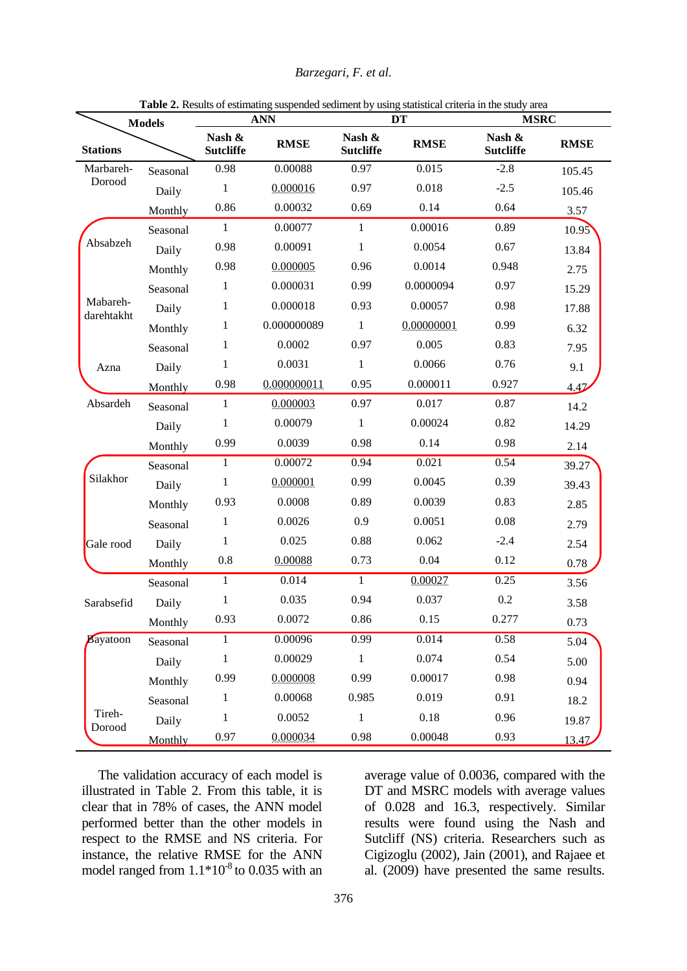| Barzegari, F. et al. |  |  |  |
|----------------------|--|--|--|
|----------------------|--|--|--|

| <b>Models</b>          |          | <b>ANN</b>                 |             |                            | <b>DT</b>   | <b>MSRC</b>                |             |  |
|------------------------|----------|----------------------------|-------------|----------------------------|-------------|----------------------------|-------------|--|
| <b>Stations</b>        |          | Nash &<br><b>Sutcliffe</b> | <b>RMSE</b> | Nash &<br><b>Sutcliffe</b> | <b>RMSE</b> | Nash &<br><b>Sutcliffe</b> | <b>RMSE</b> |  |
| Marbareh-<br>Dorood    | Seasonal | 0.98                       | 0.00088     | 0.97                       | 0.015       | $-2.8$                     | 105.45      |  |
|                        | Daily    | $\mathbf{1}$               | 0.000016    | 0.97                       | 0.018       | $-2.5$                     | 105.46      |  |
|                        | Monthly  | 0.86                       | 0.00032     | 0.69                       | 0.14        | 0.64                       | 3.57        |  |
| Absabzeh               | Seasonal | $\mathbf{1}$               | 0.00077     | $\mathbf{1}$               | 0.00016     | 0.89                       | 10.95       |  |
|                        | Daily    | 0.98                       | 0.00091     | $\mathbf{1}$               | 0.0054      | 0.67                       | 13.84       |  |
|                        | Monthly  | 0.98                       | 0.000005    | 0.96                       | 0.0014      | 0.948                      | 2.75        |  |
| Mabareh-<br>darehtakht | Seasonal | 1                          | 0.000031    | 0.99                       | 0.0000094   | 0.97                       | 15.29       |  |
|                        | Daily    | 1                          | 0.000018    | 0.93                       | 0.00057     | 0.98                       | 17.88       |  |
|                        | Monthly  | 1                          | 0.000000089 | $\mathbf{1}$               | 0.00000001  | 0.99                       | 6.32        |  |
|                        | Seasonal | 1                          | 0.0002      | 0.97                       | 0.005       | 0.83                       | 7.95        |  |
| Azna                   | Daily    | 1                          | 0.0031      | $\mathbf{1}$               | 0.0066      | 0.76                       | 9.1         |  |
|                        | Monthly  | 0.98                       | 0.000000011 | 0.95                       | 0.000011    | 0.927                      | 4.47        |  |
| Absardeh               | Seasonal | $\mathbf{1}$               | 0.000003    | 0.97                       | 0.017       | 0.87                       | 14.2        |  |
|                        | Daily    | 1                          | 0.00079     | 1                          | 0.00024     | 0.82                       | 14.29       |  |
|                        | Monthly  | 0.99                       | 0.0039      | 0.98                       | 0.14        | 0.98                       | 2.14        |  |
| Silakhor               | Seasonal | $\mathbf{1}$               | 0.00072     | 0.94                       | 0.021       | 0.54                       | 39.27       |  |
|                        | Daily    | $\mathbf{1}$               | 0.000001    | 0.99                       | 0.0045      | 0.39                       | 39.43       |  |
|                        | Monthly  | 0.93                       | 0.0008      | 0.89                       | 0.0039      | 0.83                       | 2.85        |  |
|                        | Seasonal | 1                          | 0.0026      | 0.9                        | 0.0051      | 0.08                       | 2.79        |  |
| Gale rood              | Daily    | 1                          | 0.025       | 0.88                       | 0.062       | $-2.4$                     | 2.54        |  |
|                        | Monthly  | 0.8                        | 0.00088     | 0.73                       | 0.04        | 0.12                       | 0.78        |  |
|                        | Seasonal | $\,1$                      | 0.014       | $\mathbf{1}$               | 0.00027     | 0.25                       | 3.56        |  |
| Sarabsefid             | Daily    | $\mathbf{1}$               | 0.035       | 0.94                       | 0.037       | 0.2                        | 3.58        |  |
|                        | Monthly  | 0.93                       | 0.0072      | 0.86                       | 0.15        | 0.277                      | 0.73        |  |
| Bayatoon               | Seasonal | 1                          | 0.00096     | 0.99                       | 0.014       | 0.58                       | 5.04        |  |
|                        | Daily    | $\mathbf{1}$               | 0.00029     | $\mathbf{1}$               | 0.074       | 0.54                       | 5.00        |  |
|                        | Monthly  | 0.99                       | 0.000008    | 0.99                       | 0.00017     | 0.98                       | 0.94        |  |
|                        | Seasonal | $\mathbf{1}$               | 0.00068     | 0.985                      | 0.019       | 0.91                       | 18.2        |  |
| Tireh-<br>Dorood       | Daily    | $\mathbf{1}$               | 0.0052      | $\mathbf{1}$               | 0.18        | 0.96                       | 19.87       |  |
|                        | Monthly  | 0.97                       | 0.000034    | 0.98                       | 0.00048     | 0.93                       | 13.47       |  |

**Table 2.** Results of estimating suspended sediment by using statistical criteria in the study area

The validation accuracy of each model is illustrated in Table 2. From this table, it is clear that in 78% of cases, the ANN model performed better than the other models in respect to the RMSE and NS criteria. For instance, the relative RMSE for the ANN model ranged from  $1.1*10<sup>-8</sup>$  to 0.035 with an

average value of 0.0036, compared with the DT and MSRC models with average values of 0.028 and 16.3, respectively. Similar results were found using the Nash and Sutcliff (NS) criteria. Researchers such as Cigizoglu (2002), Jain (2001), and Rajaee et al. (2009) have presented the same results.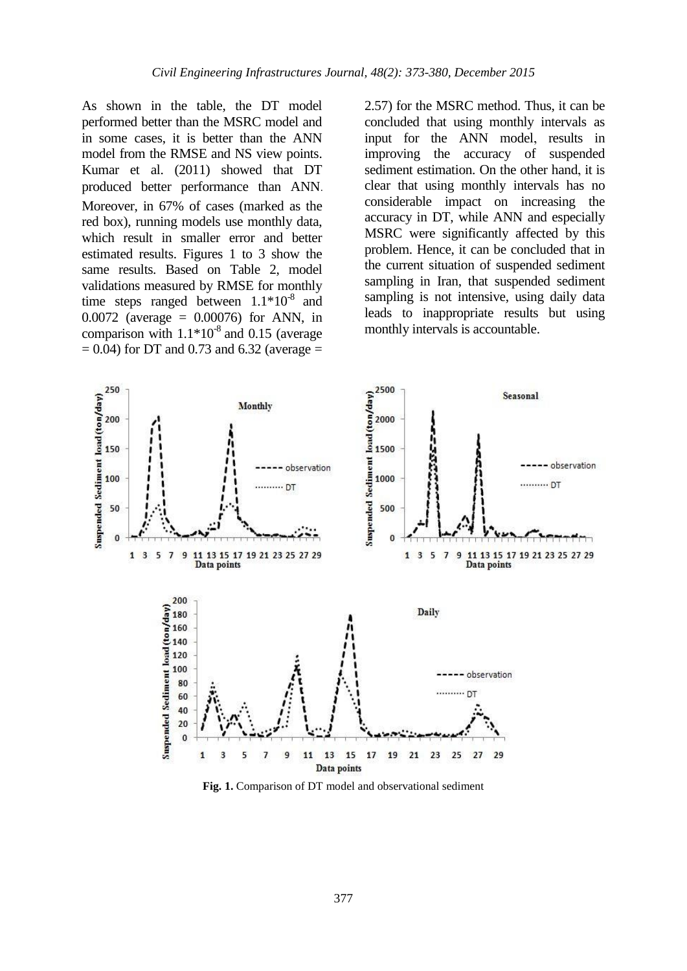As shown in the table, the DT model performed better than the MSRC model and in some cases, it is better than the ANN model from the RMSE and NS view points. Kumar et al. (2011) showed that DT produced better performance than ANN. Moreover, in 67% of cases (marked as the red box), running models use monthly data, which result in smaller error and better estimated results. Figures 1 to 3 show the same results. Based on Table 2, model validations measured by RMSE for monthly time steps ranged between  $1.1*10<sup>-8</sup>$  and 0.0072 (average = 0.00076) for ANN, in comparison with  $1.1*10<sup>-8</sup>$  and 0.15 (average  $= 0.04$ ) for DT and 0.73 and 6.32 (average  $=$ 

2.57) for the MSRC method. Thus, it can be concluded that using monthly intervals as input for the ANN model, results in improving the accuracy of suspended sediment estimation. On the other hand, it is clear that using monthly intervals has no considerable impact on increasing the accuracy in DT, while ANN and especially MSRC were significantly affected by this problem. Hence, it can be concluded that in the current situation of suspended sediment sampling in Iran, that suspended sediment sampling is not intensive, using daily data leads to inappropriate results but using monthly intervals is accountable.



**Fig. 1.** Comparison of DT model and observational sediment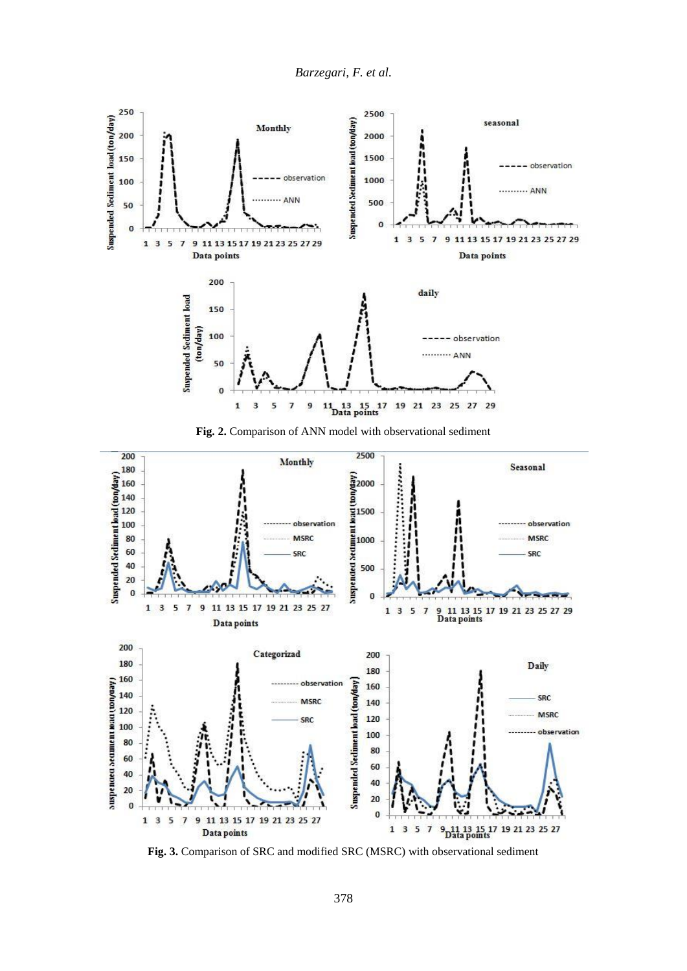

**Fig. 2.** Comparison of ANN model with observational sediment



**Fig. 3.** Comparison of SRC and modified SRC (MSRC) with observational sediment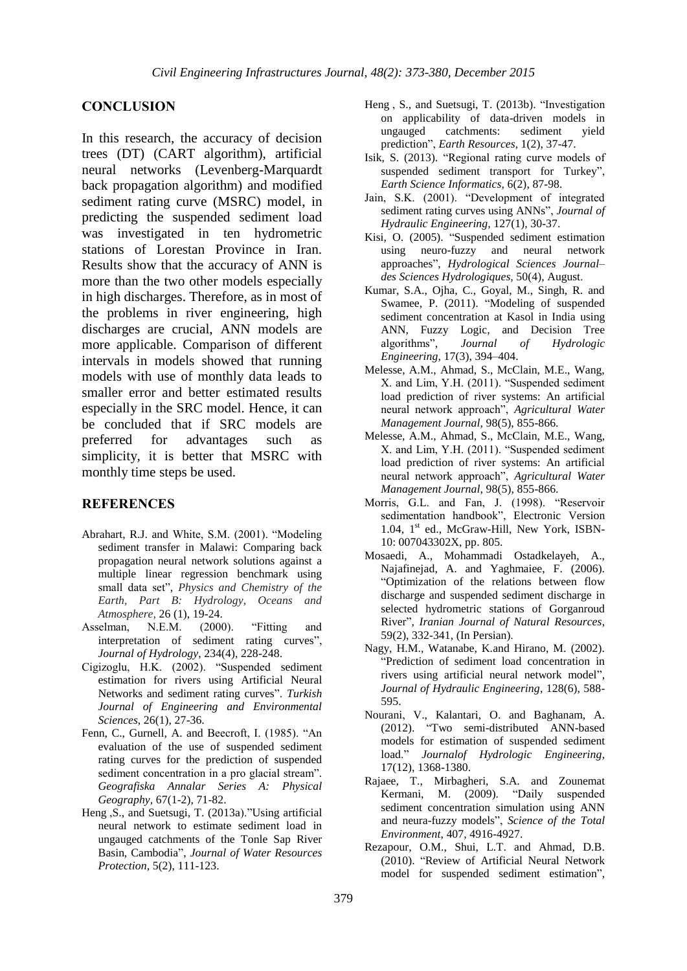#### **CONCLUSION**

In this research, the accuracy of decision trees (DT) (CART algorithm), artificial neural networks (Levenberg-Marquardt back propagation algorithm) and modified sediment rating curve (MSRC) model, in predicting the suspended sediment load was investigated in ten hydrometric stations of Lorestan Province in Iran. Results show that the accuracy of ANN is more than the two other models especially in high discharges. Therefore, as in most of the problems in river engineering, high discharges are crucial, ANN models are more applicable. Comparison of different intervals in models showed that running models with use of monthly data leads to smaller error and better estimated results especially in the SRC model. Hence, it can be concluded that if SRC models are preferred for advantages such as simplicity, it is better that MSRC with monthly time steps be used.

#### **REFERENCES**

- Abrahart, R.J. and White, S.M. (2001). "Modeling sediment transfer in Malawi: Comparing back propagation neural network solutions against a multiple linear regression benchmark using small data set", *Physics and Chemistry of the Earth, Part B: Hydrology, Oceans and Atmosphere,* 26 (1), 19-24.
- Asselman, N.E.M. (2000). "Fitting and interpretation of sediment rating curves", *Journal of Hydrology*, 234(4), 228-248.
- Cigizoglu, H.K. (2002). "Suspended sediment estimation for rivers using Artificial Neural Networks and sediment rating curves". *Turkish Journal of Engineering and Environmental Sciences*, 26(1), 27-36.
- Fenn, C., Gurnell, A. and Beecroft, I. (1985). "An evaluation of the use of suspended sediment rating curves for the prediction of suspended sediment concentration in a pro glacial stream"*. Geografiska Annalar Series A: Physical Geography,* 67(1-2), 71-82.
- Heng ,S., and Suetsugi, T. (2013a)."Using artificial neural network to estimate sediment load in ungauged catchments of the Tonle Sap River Basin, Cambodia", *Journal of Water Resources Protection,* 5(2), 111-123.
- Heng , S., and Suetsugi, T. (2013b). "Investigation on applicability of data-driven models in catchments: prediction", *Earth Resources*, 1(2), 37-47.
- Isik, S. (2013). "Regional rating curve models of suspended sediment transport for Turkey", *Earth Science Informatics,* 6(2), 87-98.
- Jain, S.K. (2001). "Development of integrated sediment rating curves using ANNs", *Journal of Hydraulic Engineering,* 127(1), 30-37.
- Kisi, O. (2005). "Suspended sediment estimation using neuro-fuzzy and neural network approaches", *Hydrological Sciences Journal– des Sciences Hydrologiques*, 50(4), August.
- Kumar, S.A., Ojha, C., Goyal, M., Singh, R. and Swamee, P. (2011). "Modeling of suspended sediment concentration at Kasol in India using ANN, Fuzzy Logic, and Decision Tree algorithms", *Journal of Hydrologic Engineering*, 17(3), 394–404.
- Melesse, A.M., Ahmad, S., McClain, M.E., Wang, X. and Lim, Y.H. (2011). "Suspended sediment load prediction of river systems: An artificial neural network approach", *Agricultural Water Management Journal*, 98(5), 855-866.
- Melesse, A.M., Ahmad, S., McClain, M.E., Wang, X. and Lim, Y.H. (2011). "Suspended sediment load prediction of river systems: An artificial neural network approach", *Agricultural Water Management Journal*, 98(5), 855-866.
- Morris, G.L. and Fan, J. (1998). "Reservoir sedimentation handbook", Electronic Version 1.04, 1<sup>st</sup> ed., McGraw-Hill, New York, ISBN-10: 007043302X, pp. 805.
- Mosaedi, A., Mohammadi Ostadkelayeh, A., Najafinejad, A. and Yaghmaiee, F. (2006). "Optimization of the relations between flow discharge and suspended sediment discharge in selected hydrometric stations of Gorganroud River"*, Iranian Journal of Natural Resources*, 59(2), 332-341, (In Persian).
- Nagy, H.M., Watanabe, K.and Hirano, M. (2002). "Prediction of sediment load concentration in rivers using artificial neural network model", *Journal of Hydraulic Engineering*, 128(6), 588- 595.
- Nourani, V., Kalantari, O. and Baghanam, A. (2012). "Two semi-distributed ANN-based models for estimation of suspended sediment load." *Journalof Hydrologic Engineering,*  17(12), 1368-1380.
- Rajaee, T., Mirbagheri, S.A. and Zounemat Kermani, M. (2009). "Daily suspended sediment concentration simulation using ANN and neura-fuzzy models", *Science of the Total Environment*, 407, 4916-4927.
- Rezapour, O.M., Shui, L.T. and Ahmad, D.B. (2010). "Review of Artificial Neural Network model for suspended sediment estimation",